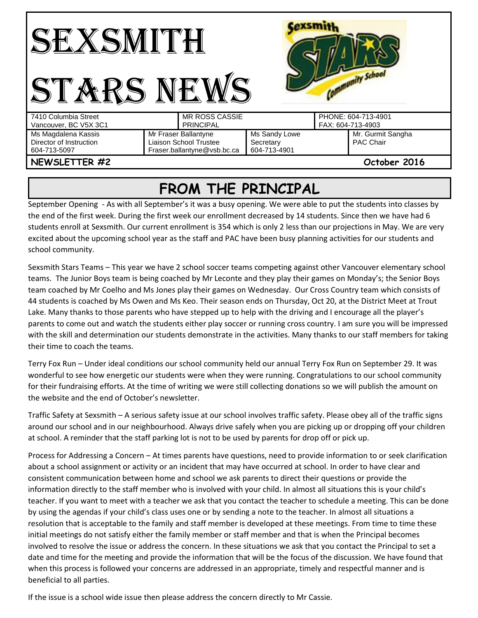| anity School<br>N⋕                                             |                                                                               |                                            |  |                                          |  |
|----------------------------------------------------------------|-------------------------------------------------------------------------------|--------------------------------------------|--|------------------------------------------|--|
| 7410 Columbia Street<br>Vancouver, BC V5X 3C1                  | <b>MR ROSS CASSIE</b><br><b>PRINCIPAL</b>                                     |                                            |  | PHONE: 604-713-4901<br>FAX: 604-713-4903 |  |
| Ms Magdalena Kassis<br>Director of Instruction<br>604-713-5097 | Mr Fraser Ballantyne<br>Liaison School Trustee<br>Fraser.ballantyne@vsb.bc.ca | Ms Sandy Lowe<br>Secretary<br>604-713-4901 |  | Mr. Gurmit Sangha<br>PAC Chair           |  |
| NEWSLETTER #2                                                  |                                                                               |                                            |  | October 2016                             |  |

## **FROM THE PRINCIPAL**

September Opening - As with all September's it was a busy opening. We were able to put the students into classes by the end of the first week. During the first week our enrollment decreased by 14 students. Since then we have had 6 students enroll at Sexsmith. Our current enrollment is 354 which is only 2 less than our projections in May. We are very excited about the upcoming school year as the staff and PAC have been busy planning activities for our students and school community.

Sexsmith Stars Teams – This year we have 2 school soccer teams competing against other Vancouver elementary school teams. The Junior Boys team is being coached by Mr Leconte and they play their games on Monday's; the Senior Boys team coached by Mr Coelho and Ms Jones play their games on Wednesday. Our Cross Country team which consists of 44 students is coached by Ms Owen and Ms Keo. Their season ends on Thursday, Oct 20, at the District Meet at Trout Lake. Many thanks to those parents who have stepped up to help with the driving and I encourage all the player's parents to come out and watch the students either play soccer or running cross country. I am sure you will be impressed with the skill and determination our students demonstrate in the activities. Many thanks to our staff members for taking their time to coach the teams.

Terry Fox Run – Under ideal conditions our school community held our annual Terry Fox Run on September 29. It was wonderful to see how energetic our students were when they were running. Congratulations to our school community for their fundraising efforts. At the time of writing we were still collecting donations so we will publish the amount on the website and the end of October's newsletter.

Traffic Safety at Sexsmith – A serious safety issue at our school involves traffic safety. Please obey all of the traffic signs around our school and in our neighbourhood. Always drive safely when you are picking up or dropping off your children at school. A reminder that the staff parking lot is not to be used by parents for drop off or pick up.

Process for Addressing a Concern – At times parents have questions, need to provide information to or seek clarification about a school assignment or activity or an incident that may have occurred at school. In order to have clear and consistent communication between home and school we ask parents to direct their questions or provide the information directly to the staff member who is involved with your child. In almost all situations this is your child's teacher. If you want to meet with a teacher we ask that you contact the teacher to schedule a meeting. This can be done by using the agendas if your child's class uses one or by sending a note to the teacher. In almost all situations a resolution that is acceptable to the family and staff member is developed at these meetings. From time to time these initial meetings do not satisfy either the family member or staff member and that is when the Principal becomes involved to resolve the issue or address the concern. In these situations we ask that you contact the Principal to set a date and time for the meeting and provide the information that will be the focus of the discussion. We have found that when this process is followed your concerns are addressed in an appropriate, timely and respectful manner and is beneficial to all parties.

If the issue is a school wide issue then please address the concern directly to Mr Cassie.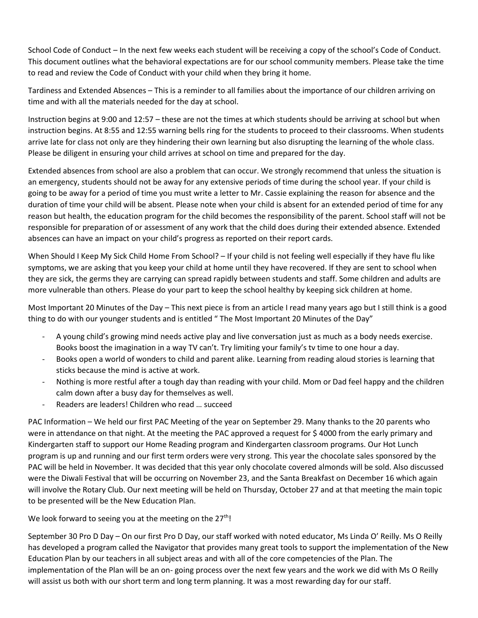School Code of Conduct – In the next few weeks each student will be receiving a copy of the school's Code of Conduct. This document outlines what the behavioral expectations are for our school community members. Please take the time to read and review the Code of Conduct with your child when they bring it home.

Tardiness and Extended Absences – This is a reminder to all families about the importance of our children arriving on time and with all the materials needed for the day at school.

Instruction begins at 9:00 and 12:57 – these are not the times at which students should be arriving at school but when instruction begins. At 8:55 and 12:55 warning bells ring for the students to proceed to their classrooms. When students arrive late for class not only are they hindering their own learning but also disrupting the learning of the whole class. Please be diligent in ensuring your child arrives at school on time and prepared for the day.

Extended absences from school are also a problem that can occur. We strongly recommend that unless the situation is an emergency, students should not be away for any extensive periods of time during the school year. If your child is going to be away for a period of time you must write a letter to Mr. Cassie explaining the reason for absence and the duration of time your child will be absent. Please note when your child is absent for an extended period of time for any reason but health, the education program for the child becomes the responsibility of the parent. School staff will not be responsible for preparation of or assessment of any work that the child does during their extended absence. Extended absences can have an impact on your child's progress as reported on their report cards.

When Should I Keep My Sick Child Home From School? – If your child is not feeling well especially if they have flu like symptoms, we are asking that you keep your child at home until they have recovered. If they are sent to school when they are sick, the germs they are carrying can spread rapidly between students and staff. Some children and adults are more vulnerable than others. Please do your part to keep the school healthy by keeping sick children at home.

Most Important 20 Minutes of the Day – This next piece is from an article I read many years ago but I still think is a good thing to do with our younger students and is entitled " The Most Important 20 Minutes of the Day"

- A young child's growing mind needs active play and live conversation just as much as a body needs exercise. Books boost the imagination in a way TV can't. Try limiting your family's tv time to one hour a day.
- Books open a world of wonders to child and parent alike. Learning from reading aloud stories is learning that sticks because the mind is active at work.
- Nothing is more restful after a tough day than reading with your child. Mom or Dad feel happy and the children calm down after a busy day for themselves as well.
- Readers are leaders! Children who read … succeed

PAC Information – We held our first PAC Meeting of the year on September 29. Many thanks to the 20 parents who were in attendance on that night. At the meeting the PAC approved a request for \$ 4000 from the early primary and Kindergarten staff to support our Home Reading program and Kindergarten classroom programs. Our Hot Lunch program is up and running and our first term orders were very strong. This year the chocolate sales sponsored by the PAC will be held in November. It was decided that this year only chocolate covered almonds will be sold. Also discussed were the Diwali Festival that will be occurring on November 23, and the Santa Breakfast on December 16 which again will involve the Rotary Club. Our next meeting will be held on Thursday, October 27 and at that meeting the main topic to be presented will be the New Education Plan.

We look forward to seeing you at the meeting on the  $27<sup>th</sup>$ !

September 30 Pro D Day – On our first Pro D Day, our staff worked with noted educator, Ms Linda O' Reilly. Ms O Reilly has developed a program called the Navigator that provides many great tools to support the implementation of the New Education Plan by our teachers in all subject areas and with all of the core competencies of the Plan. The implementation of the Plan will be an on- going process over the next few years and the work we did with Ms O Reilly will assist us both with our short term and long term planning. It was a most rewarding day for our staff.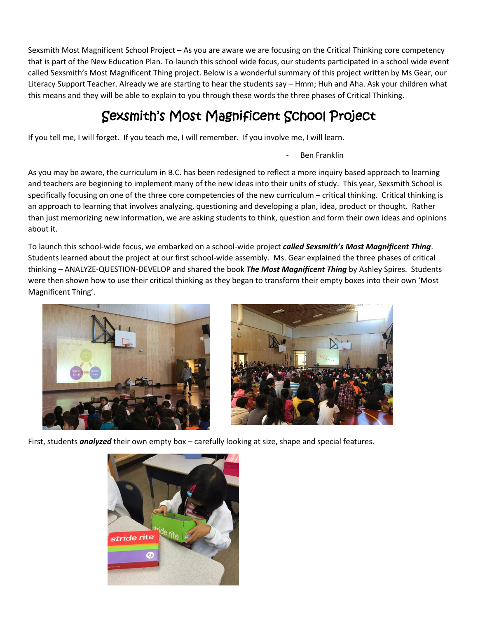Sexsmith Most Magnificent School Project – As you are aware we are focusing on the Critical Thinking core competency that is part of the New Education Plan. To launch this school wide focus, our students participated in a school wide event called Sexsmith's Most Magnificent Thing project. Below is a wonderful summary of this project written by Ms Gear, our Literacy Support Teacher. Already we are starting to hear the students say – Hmm; Huh and Aha. Ask your children what this means and they will be able to explain to you through these words the three phases of Critical Thinking.

## Sexsmith's Most Magnificent School Project

If you tell me, I will forget. If you teach me, I will remember. If you involve me, I will learn.

Ben Franklin

As you may be aware, the curriculum in B.C. has been redesigned to reflect a more inquiry based approach to learning and teachers are beginning to implement many of the new ideas into their units of study. This year, Sexsmith School is specifically focusing on one of the three core competencies of the new curriculum – critical thinking. Critical thinking is an approach to learning that involves analyzing, questioning and developing a plan, idea, product or thought. Rather than just memorizing new information, we are asking students to think, question and form their own ideas and opinions about it.

To launch this school-wide focus, we embarked on a school-wide project *called Sexsmith's Most Magnificent Thing*. Students learned about the project at our first school-wide assembly. Ms. Gear explained the three phases of critical thinking – ANALYZE-QUESTION-DEVELOP and shared the book *The Most Magnificent Thing* by Ashley Spires. Students were then shown how to use their critical thinking as they began to transform their empty boxes into their own 'Most Magnificent Thing'.





First, students *analyzed* their own empty box – carefully looking at size, shape and special features.

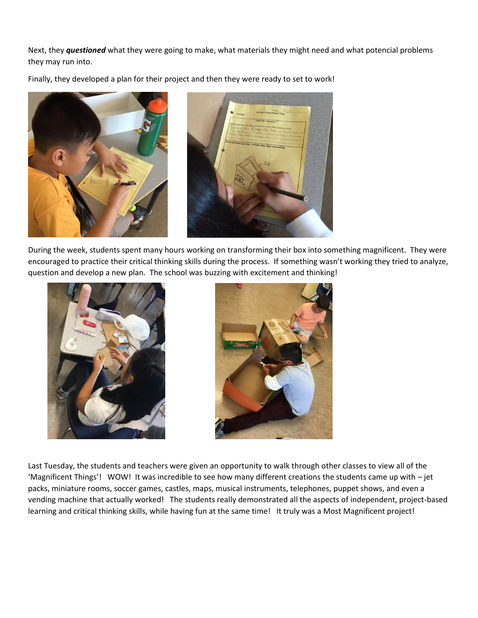Next, they *questioned* what they were going to make, what materials they might need and what potencial problems they may run into.

Finally, they developed a plan for their project and then they were ready to set to work!





During the week, students spent many hours working on transforming their box into something magnificent. They were encouraged to practice their critical thinking skills during the process. If something wasn't working they tried to analyze, question and develop a new plan. The school was buzzing with excitement and thinking!





Last Tuesday, the students and teachers were given an opportunity to walk through other classes to view all of the 'Magnificent Things'! WOW! It was incredible to see how many different creations the students came up with – jet packs, miniature rooms, soccer games, castles, maps, musical instruments, telephones, puppet shows, and even a vending machine that actually worked! The students really demonstrated all the aspects of independent, project-based learning and critical thinking skills, while having fun at the same time! It truly was a Most Magnificent project!